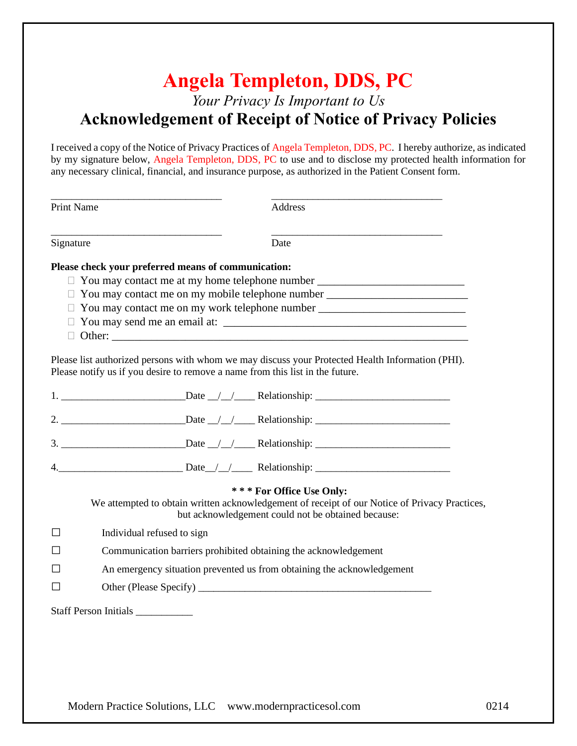# **Angela Templeton, DDS, PC** *Your Privacy Is Important to Us* **Acknowledgement of Receipt of Notice of Privacy Policies**

I received a copy of the Notice of Privacy Practices of Angela Templeton, DDS, PC. I hereby authorize, as indicated by my signature below, Angela Templeton, DDS, PC to use and to disclose my protected health information for any necessary clinical, financial, and insurance purpose, as authorized in the Patient Consent form.

| Print Name | Address                                                                                                                                                                                                                                                                                                         |  |
|------------|-----------------------------------------------------------------------------------------------------------------------------------------------------------------------------------------------------------------------------------------------------------------------------------------------------------------|--|
| Signature  | Date                                                                                                                                                                                                                                                                                                            |  |
|            | Please check your preferred means of communication:<br>□ You may contact me at my home telephone number _______________________________<br>□ You may contact me on my mobile telephone number _____________________________<br>□ You may contact me on my work telephone number _______________________________ |  |
|            | Please list authorized persons with whom we may discuss your Protected Health Information (PHI).<br>Please notify us if you desire to remove a name from this list in the future.                                                                                                                               |  |
|            |                                                                                                                                                                                                                                                                                                                 |  |
|            |                                                                                                                                                                                                                                                                                                                 |  |
|            |                                                                                                                                                                                                                                                                                                                 |  |
|            | 4. Date / / <b>Relationship:</b> 1. 2008. 2014.                                                                                                                                                                                                                                                                 |  |
|            | *** For Office Use Only:<br>We attempted to obtain written acknowledgement of receipt of our Notice of Privacy Practices,<br>but acknowledgement could not be obtained because:                                                                                                                                 |  |
| П          | Individual refused to sign                                                                                                                                                                                                                                                                                      |  |
|            | Communication barriers prohibited obtaining the acknowledgement                                                                                                                                                                                                                                                 |  |
|            | An emergency situation prevented us from obtaining the acknowledgement                                                                                                                                                                                                                                          |  |
| $\perp$    |                                                                                                                                                                                                                                                                                                                 |  |
|            | Staff Person Initials ___________                                                                                                                                                                                                                                                                               |  |